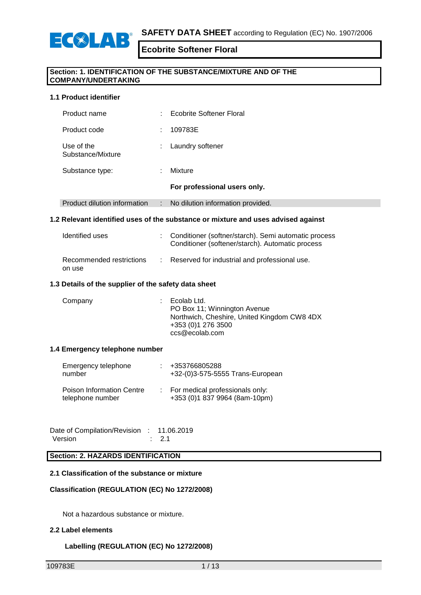

### **Section: 1. IDENTIFICATION OF THE SUBSTANCE/MIXTURE AND OF THE COMPANY/UNDERTAKING**

### **1.1 Product identifier**

|                                 | For professional users only.         |  |
|---------------------------------|--------------------------------------|--|
| Substance type:                 | Mixture<br>٠                         |  |
| Use of the<br>Substance/Mixture | Laundry softener<br>÷                |  |
| Product code                    | 109783E<br>÷                         |  |
| Product name                    | <b>Ecobrite Softener Floral</b><br>٠ |  |

### Product dilution information : No dilution information provided.

### **1.2 Relevant identified uses of the substance or mixture and uses advised against**

| Identified uses                    | : Conditioner (softner/starch). Semi automatic process<br>Conditioner (softener/starch). Automatic process |
|------------------------------------|------------------------------------------------------------------------------------------------------------|
| Recommended restrictions<br>on use | : Reserved for industrial and professional use.                                                            |

### **1.3 Details of the supplier of the safety data sheet**

| $\therefore$ Ecolab Ltd.<br>Company | PO Box 11; Winnington Avenue<br>Northwich, Cheshire, United Kingdom CW8 4DX<br>+353 (0)1 276 3500<br>ccs@ecolab.com |
|-------------------------------------|---------------------------------------------------------------------------------------------------------------------|
|-------------------------------------|---------------------------------------------------------------------------------------------------------------------|

#### **1.4 Emergency telephone number**

| Emergency telephone<br>number                 | +353766805288<br>+32-(0)3-575-5555 Trans-European                  |
|-----------------------------------------------|--------------------------------------------------------------------|
| Poison Information Centre<br>telephone number | : For medical professionals only:<br>+353 (0)1 837 9964 (8am-10pm) |

Date of Compilation/Revision : 11.06.2019 Version : 2.1

# **Section: 2. HAZARDS IDENTIFICATION**

#### **2.1 Classification of the substance or mixture**

#### **Classification (REGULATION (EC) No 1272/2008)**

Not a hazardous substance or mixture.

#### **2.2 Label elements**

# **Labelling (REGULATION (EC) No 1272/2008)**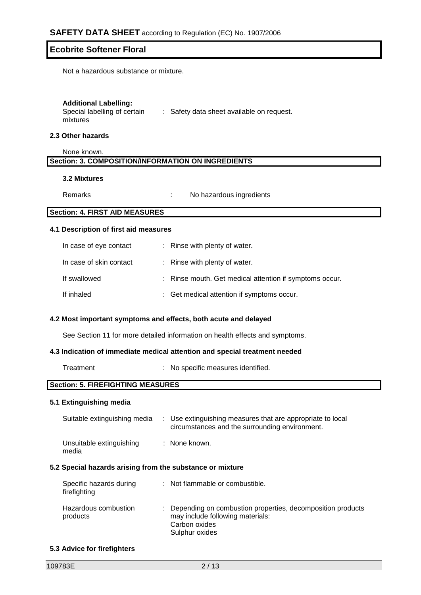Not a hazardous substance or mixture.

#### **Additional Labelling:**

Special labelling of certain : Safety data sheet available on request. mixtures

### **2.3 Other hazards**

None known. **Section: 3. COMPOSITION/INFORMATION ON INGREDIENTS**

#### **3.2 Mixtures**

Remarks : No hazardous ingredients

# **Section: 4. FIRST AID MEASURES**

#### **4.1 Description of first aid measures**

| In case of eye contact  | : Rinse with plenty of water.                           |
|-------------------------|---------------------------------------------------------|
| In case of skin contact | : Rinse with plenty of water.                           |
| If swallowed            | : Rinse mouth. Get medical attention if symptoms occur. |
| If inhaled              | : Get medical attention if symptoms occur.              |

#### **4.2 Most important symptoms and effects, both acute and delayed**

See Section 11 for more detailed information on health effects and symptoms.

### **4.3 Indication of immediate medical attention and special treatment needed**

| Treatment | No specific measures identified. |  |
|-----------|----------------------------------|--|
|-----------|----------------------------------|--|

# **Section: 5. FIREFIGHTING MEASURES**

#### **5.1 Extinguishing media**

| Suitable extinguishing media                              | : Use extinguishing measures that are appropriate to local<br>circumstances and the surrounding environment. |
|-----------------------------------------------------------|--------------------------------------------------------------------------------------------------------------|
| Unsuitable extinguishing<br>media                         | : None known.                                                                                                |
| 5.2 Special hazards arising from the substance or mixture |                                                                                                              |
| Specific hazards during                                   | : Not flammable or combustible.                                                                              |

| Hazardous combustion | : Depending on combustion properties, decomposition products |
|----------------------|--------------------------------------------------------------|
| products             | may include following materials:                             |
|                      | Carbon oxides                                                |
|                      | Sulphur oxides                                               |

#### **5.3 Advice for firefighters**

firefighting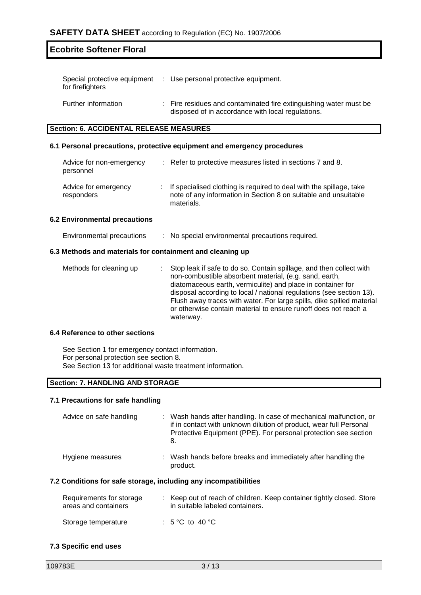| Special protective equipment<br>for firefighters | : Use personal protective equipment.                                                                                   |
|--------------------------------------------------|------------------------------------------------------------------------------------------------------------------------|
| Further information                              | : Fire residues and contaminated fire extinguishing water must be<br>disposed of in accordance with local regulations. |

# **Section: 6. ACCIDENTAL RELEASE MEASURES**

# **6.1 Personal precautions, protective equipment and emergency procedures**

| Advice for non-emergency<br>personnel | : Refer to protective measures listed in sections 7 and 8.                                                                                             |
|---------------------------------------|--------------------------------------------------------------------------------------------------------------------------------------------------------|
| Advice for emergency<br>responders    | : If specialised clothing is required to deal with the spillage, take<br>note of any information in Section 8 on suitable and unsuitable<br>materials. |

#### **6.2 Environmental precautions**

| Environmental precautions | No special environmental precautions required. |  |
|---------------------------|------------------------------------------------|--|
|                           |                                                |  |

### **6.3 Methods and materials for containment and cleaning up**

| Methods for cleaning up |  | : Stop leak if safe to do so. Contain spillage, and then collect with<br>non-combustible absorbent material, (e.g. sand, earth,<br>diatomaceous earth, vermiculite) and place in container for<br>disposal according to local / national regulations (see section 13).<br>Flush away traces with water. For large spills, dike spilled material<br>or otherwise contain material to ensure runoff does not reach a<br>waterway. |
|-------------------------|--|---------------------------------------------------------------------------------------------------------------------------------------------------------------------------------------------------------------------------------------------------------------------------------------------------------------------------------------------------------------------------------------------------------------------------------|
|-------------------------|--|---------------------------------------------------------------------------------------------------------------------------------------------------------------------------------------------------------------------------------------------------------------------------------------------------------------------------------------------------------------------------------------------------------------------------------|

#### **6.4 Reference to other sections**

See Section 1 for emergency contact information. For personal protection see section 8. See Section 13 for additional waste treatment information.

# **Section: 7. HANDLING AND STORAGE**

### **7.1 Precautions for safe handling**

| Advice on safe handling | : Wash hands after handling. In case of mechanical malfunction, or<br>if in contact with unknown dilution of product, wear full Personal<br>Protective Equipment (PPE). For personal protection see section<br>8. |
|-------------------------|-------------------------------------------------------------------------------------------------------------------------------------------------------------------------------------------------------------------|
| Hygiene measures        | : Wash hands before breaks and immediately after handling the<br>product.                                                                                                                                         |

### **7.2 Conditions for safe storage, including any incompatibilities**

| Requirements for storage<br>areas and containers | : Keep out of reach of children. Keep container tightly closed. Store<br>in suitable labeled containers. |
|--------------------------------------------------|----------------------------------------------------------------------------------------------------------|
| Storage temperature                              | : $5^{\circ}$ C to $40^{\circ}$ C                                                                        |

#### **7.3 Specific end uses**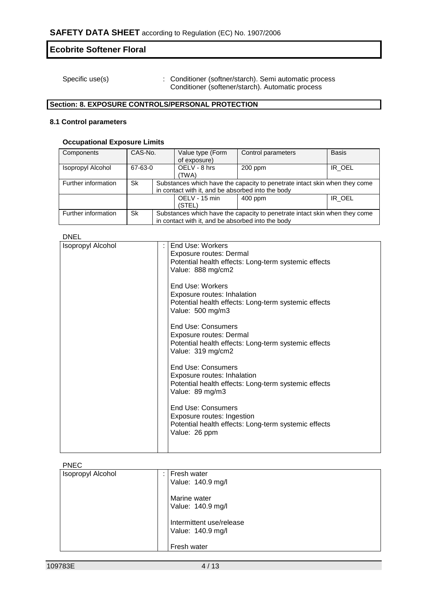Specific use(s) : Conditioner (softner/starch). Semi automatic process Conditioner (softener/starch). Automatic process

# **Section: 8. EXPOSURE CONTROLS/PERSONAL PROTECTION**

# **8.1 Control parameters**

### **Occupational Exposure Limits**

| Components               | CAS-No. |  | Value type (Form<br>of exposure)                                                                                                | Control parameters                                                         | <b>Basis</b> |  |
|--------------------------|---------|--|---------------------------------------------------------------------------------------------------------------------------------|----------------------------------------------------------------------------|--------------|--|
| <b>Isopropyl Alcohol</b> | 67-63-0 |  | OELV - 8 hrs<br>(TWA)                                                                                                           | 200 ppm                                                                    | IR OEL       |  |
| Further information      | Sk      |  | Substances which have the capacity to penetrate intact skin when they come<br>in contact with it, and be absorbed into the body |                                                                            |              |  |
|                          |         |  | OELV - 15 min<br>(STEL)                                                                                                         | $400$ ppm                                                                  | IR_OEL       |  |
| Further information      | Sk      |  | in contact with it, and be absorbed into the body                                                                               | Substances which have the capacity to penetrate intact skin when they come |              |  |

# **DNEL**

| ᄓᄓᄃᄂ                     |                                                                                                                                          |  |  |  |  |
|--------------------------|------------------------------------------------------------------------------------------------------------------------------------------|--|--|--|--|
| <b>Isopropyl Alcohol</b> | End Use: Workers<br><b>Exposure routes: Dermal</b><br>Potential health effects: Long-term systemic effects<br>Value: 888 mg/cm2          |  |  |  |  |
|                          | End Use: Workers<br>Exposure routes: Inhalation<br>Potential health effects: Long-term systemic effects<br>Value: 500 mg/m3              |  |  |  |  |
|                          | <b>End Use: Consumers</b><br><b>Exposure routes: Dermal</b><br>Potential health effects: Long-term systemic effects<br>Value: 319 mg/cm2 |  |  |  |  |
|                          | <b>End Use: Consumers</b><br>Exposure routes: Inhalation<br>Potential health effects: Long-term systemic effects<br>Value: 89 mg/m3      |  |  |  |  |
|                          | End Use: Consumers<br>Exposure routes: Ingestion<br>Potential health effects: Long-term systemic effects<br>Value: 26 ppm                |  |  |  |  |
|                          |                                                                                                                                          |  |  |  |  |

PNEC

| . <u>.</u>        |   |                          |
|-------------------|---|--------------------------|
| Isopropyl Alcohol | ÷ | Fresh water              |
|                   |   | Value: 140.9 mg/l        |
|                   |   | Marine water             |
|                   |   | Value: 140.9 mg/l        |
|                   |   | Intermittent use/release |
|                   |   | Value: 140.9 mg/l        |
|                   |   |                          |
|                   |   | Fresh water              |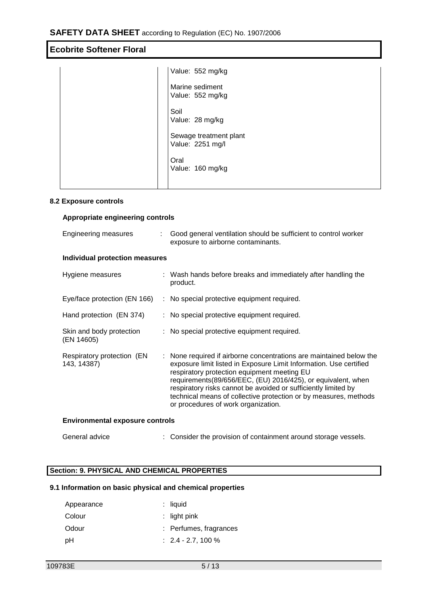|  | Value: 552 mg/kg                           |
|--|--------------------------------------------|
|  | Marine sediment<br>Value: 552 mg/kg        |
|  | Soil<br>Value: 28 mg/kg                    |
|  | Sewage treatment plant<br>Value: 2251 mg/l |
|  | Oral<br>Value: 160 mg/kg                   |
|  |                                            |

### **8.2 Exposure controls**

## **Appropriate engineering controls**

| Engineering measures                      |  | Good general ventilation should be sufficient to control worker<br>exposure to airborne contaminants.                                                                                                                                                                                                                                                                                                                                 |  |  |
|-------------------------------------------|--|---------------------------------------------------------------------------------------------------------------------------------------------------------------------------------------------------------------------------------------------------------------------------------------------------------------------------------------------------------------------------------------------------------------------------------------|--|--|
| <b>Individual protection measures</b>     |  |                                                                                                                                                                                                                                                                                                                                                                                                                                       |  |  |
| Hygiene measures                          |  | : Wash hands before breaks and immediately after handling the<br>product.                                                                                                                                                                                                                                                                                                                                                             |  |  |
| Eye/face protection (EN 166)              |  | : No special protective equipment required.                                                                                                                                                                                                                                                                                                                                                                                           |  |  |
| Hand protection (EN 374)                  |  | : No special protective equipment required.                                                                                                                                                                                                                                                                                                                                                                                           |  |  |
| Skin and body protection<br>(EN 14605)    |  | : No special protective equipment required.                                                                                                                                                                                                                                                                                                                                                                                           |  |  |
| Respiratory protection (EN<br>143, 14387) |  | : None required if airborne concentrations are maintained below the<br>exposure limit listed in Exposure Limit Information. Use certified<br>respiratory protection equipment meeting EU<br>requirements(89/656/EEC, (EU) 2016/425), or equivalent, when<br>respiratory risks cannot be avoided or sufficiently limited by<br>technical means of collective protection or by measures, methods<br>or procedures of work organization. |  |  |
| <b>Environmental exposure controls</b>    |  |                                                                                                                                                                                                                                                                                                                                                                                                                                       |  |  |

# General advice : Consider the provision of containment around storage vessels.

# **Section: 9. PHYSICAL AND CHEMICAL PROPERTIES**

# **9.1 Information on basic physical and chemical properties**

| Appearance | $:$ liquid             |
|------------|------------------------|
| Colour     | $:$ light pink         |
| Odour      | : Perfumes, fragrances |
| рH         | $: 2.4 - 2.7, 100 \%$  |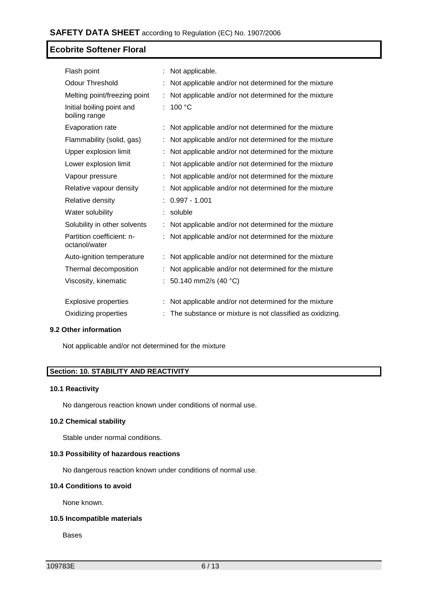| Flash point                                |    | Not applicable.                                          |
|--------------------------------------------|----|----------------------------------------------------------|
| <b>Odour Threshold</b>                     |    | Not applicable and/or not determined for the mixture     |
| Melting point/freezing point               |    | Not applicable and/or not determined for the mixture     |
| Initial boiling point and<br>boiling range | ÷. | 100 °C                                                   |
| Evaporation rate                           |    | Not applicable and/or not determined for the mixture     |
| Flammability (solid, gas)                  |    | Not applicable and/or not determined for the mixture     |
| Upper explosion limit                      |    | Not applicable and/or not determined for the mixture     |
| Lower explosion limit                      |    | Not applicable and/or not determined for the mixture     |
| Vapour pressure                            |    | Not applicable and/or not determined for the mixture     |
| Relative vapour density                    |    | Not applicable and/or not determined for the mixture     |
| Relative density                           |    | $0.997 - 1.001$                                          |
| Water solubility                           | ÷  | soluble                                                  |
| Solubility in other solvents               |    | Not applicable and/or not determined for the mixture     |
| Partition coefficient: n-<br>octanol/water |    | Not applicable and/or not determined for the mixture     |
| Auto-ignition temperature                  | ÷  | Not applicable and/or not determined for the mixture     |
| Thermal decomposition                      |    | Not applicable and/or not determined for the mixture     |
| Viscosity, kinematic                       |    | 50.140 mm2/s (40 °C)                                     |
| <b>Explosive properties</b>                | ÷  | Not applicable and/or not determined for the mixture     |
| Oxidizing properties                       |    | The substance or mixture is not classified as oxidizing. |

### **9.2 Other information**

Not applicable and/or not determined for the mixture

# **Section: 10. STABILITY AND REACTIVITY**

### **10.1 Reactivity**

No dangerous reaction known under conditions of normal use.

# **10.2 Chemical stability**

Stable under normal conditions.

### **10.3 Possibility of hazardous reactions**

No dangerous reaction known under conditions of normal use.

### **10.4 Conditions to avoid**

None known.

### **10.5 Incompatible materials**

Bases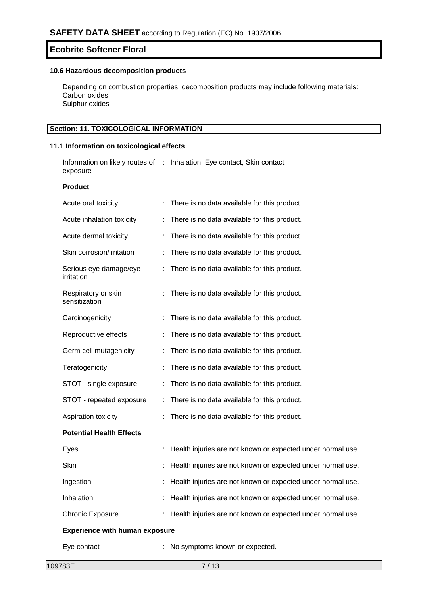### **10.6 Hazardous decomposition products**

Depending on combustion properties, decomposition products may include following materials: Carbon oxides Sulphur oxides

# **Section: 11. TOXICOLOGICAL INFORMATION**

### **11.1 Information on toxicological effects**

Information on likely routes of : Inhalation, Eye contact, Skin contact exposure

#### **Product**

| Acute oral toxicity                   | There is no data available for this product.                |
|---------------------------------------|-------------------------------------------------------------|
| Acute inhalation toxicity             | There is no data available for this product.                |
| Acute dermal toxicity                 | There is no data available for this product.                |
| Skin corrosion/irritation             | There is no data available for this product.                |
| Serious eye damage/eye<br>irritation  | : There is no data available for this product.              |
| Respiratory or skin<br>sensitization  | There is no data available for this product.                |
| Carcinogenicity                       | : There is no data available for this product.              |
| Reproductive effects                  | There is no data available for this product.                |
| Germ cell mutagenicity                | There is no data available for this product.                |
| Teratogenicity                        | There is no data available for this product.                |
| STOT - single exposure                | There is no data available for this product.                |
| STOT - repeated exposure              | There is no data available for this product.                |
| Aspiration toxicity                   | There is no data available for this product.                |
| <b>Potential Health Effects</b>       |                                                             |
| Eyes                                  | Health injuries are not known or expected under normal use. |
| Skin                                  | Health injuries are not known or expected under normal use. |
| Ingestion                             | Health injuries are not known or expected under normal use. |
| Inhalation                            | Health injuries are not known or expected under normal use. |
| <b>Chronic Exposure</b>               | Health injuries are not known or expected under normal use. |
| <b>Experience with human exposure</b> |                                                             |
| Eye contact                           | No symptoms known or expected.                              |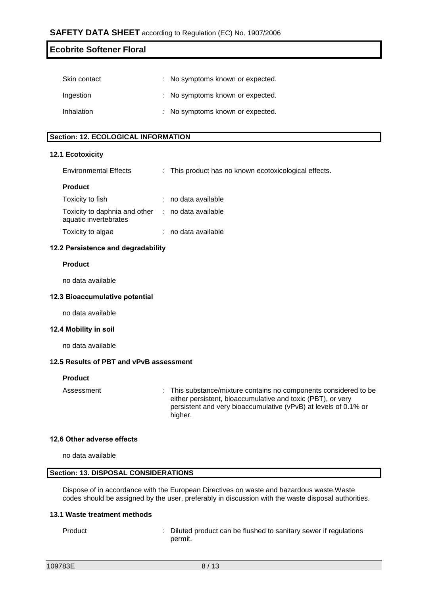| <b>Ecobrite Softener Floral</b> |
|---------------------------------|
|                                 |
|                                 |

| Skin contact | : No symptoms known or expected. |
|--------------|----------------------------------|
| Ingestion    | : No symptoms known or expected. |
| Inhalation   | : No symptoms known or expected. |

# **Section: 12. ECOLOGICAL INFORMATION**

#### **12.1 Ecotoxicity**

| <b>Environmental Effects</b> |  | This product has no known ecotoxicological effects. |  |
|------------------------------|--|-----------------------------------------------------|--|
|------------------------------|--|-----------------------------------------------------|--|

#### **Product**

| Toxicity to fish                                       | : no data available |
|--------------------------------------------------------|---------------------|
| Toxicity to daphnia and other<br>aquatic invertebrates | : no data available |
| Toxicity to algae                                      | : no data available |

### **12.2 Persistence and degradability**

#### **Product**

no data available

#### **12.3 Bioaccumulative potential**

no data available

#### **12.4 Mobility in soil**

no data available

### **12.5 Results of PBT and vPvB assessment**

#### **Product**

Assessment : This substance/mixture contains no components considered to be either persistent, bioaccumulative and toxic (PBT), or very persistent and very bioaccumulative (vPvB) at levels of 0.1% or higher.

### **12.6 Other adverse effects**

no data available

# **Section: 13. DISPOSAL CONSIDERATIONS**

Dispose of in accordance with the European Directives on waste and hazardous waste.Waste codes should be assigned by the user, preferably in discussion with the waste disposal authorities.

## **13.1 Waste treatment methods**

Product : Diluted product can be flushed to sanitary sewer if regulations permit.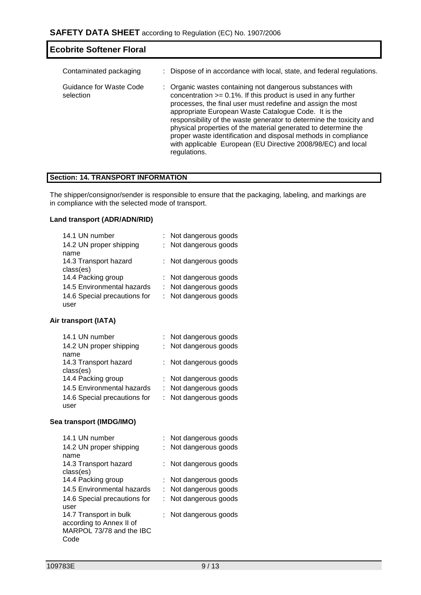| <b>Ecobrite Softener Floral</b>      |                                                                                                                                                                                                                                                                                                                                                                                                                                                                                                                                                  |
|--------------------------------------|--------------------------------------------------------------------------------------------------------------------------------------------------------------------------------------------------------------------------------------------------------------------------------------------------------------------------------------------------------------------------------------------------------------------------------------------------------------------------------------------------------------------------------------------------|
| Contaminated packaging               | : Dispose of in accordance with local, state, and federal regulations.                                                                                                                                                                                                                                                                                                                                                                                                                                                                           |
| Guidance for Waste Code<br>selection | : Organic wastes containing not dangerous substances with<br>concentration $>= 0.1\%$ . If this product is used in any further<br>processes, the final user must redefine and assign the most<br>appropriate European Waste Catalogue Code. It is the<br>responsibility of the waste generator to determine the toxicity and<br>physical properties of the material generated to determine the<br>proper waste identification and disposal methods in compliance<br>with applicable European (EU Directive 2008/98/EC) and local<br>regulations. |

# **Section: 14. TRANSPORT INFORMATION**

The shipper/consignor/sender is responsible to ensure that the packaging, labeling, and markings are in compliance with the selected mode of transport.

# **Land transport (ADR/ADN/RID)**

| 14.1 UN number               | : Not dangerous goods |
|------------------------------|-----------------------|
| 14.2 UN proper shipping      | : Not dangerous goods |
| name                         |                       |
| 14.3 Transport hazard        | : Not dangerous goods |
| class(es)                    |                       |
| 14.4 Packing group           | : Not dangerous goods |
| 14.5 Environmental hazards   | : Not dangerous goods |
| 14.6 Special precautions for | : Not dangerous goods |
| user                         |                       |

# **Air transport (IATA)**

| 14.1 UN number               | : Not dangerous goods |
|------------------------------|-----------------------|
| 14.2 UN proper shipping      | : Not dangerous goods |
| name                         |                       |
| 14.3 Transport hazard        | : Not dangerous goods |
| class(es)                    |                       |
| 14.4 Packing group           | : Not dangerous goods |
| 14.5 Environmental hazards   | : Not dangerous goods |
| 14.6 Special precautions for | : Not dangerous goods |
| user                         |                       |

# **Sea transport (IMDG/IMO)**

| 14.1 UN number               | : Not dangerous goods |
|------------------------------|-----------------------|
| 14.2 UN proper shipping      | : Not dangerous goods |
| name                         |                       |
| 14.3 Transport hazard        | : Not dangerous goods |
| class(es)                    |                       |
| 14.4 Packing group           | : Not dangerous goods |
| 14.5 Environmental hazards   | : Not dangerous goods |
| 14.6 Special precautions for | : Not dangerous goods |
| user                         |                       |
| 14.7 Transport in bulk       | : Not dangerous goods |
| according to Annex II of     |                       |
| MARPOL 73/78 and the IBC     |                       |
| Code                         |                       |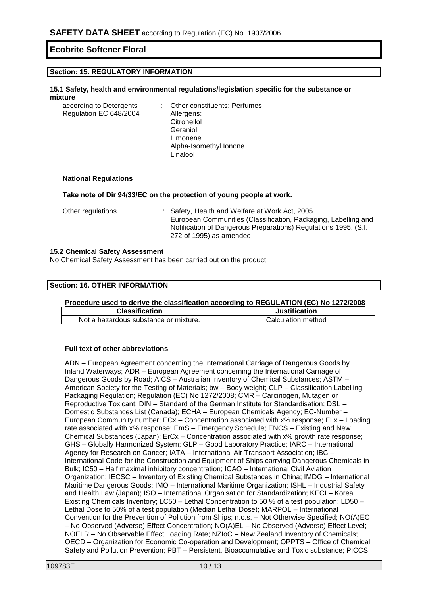### **Section: 15. REGULATORY INFORMATION**

#### **15.1 Safety, health and environmental regulations/legislation specific for the substance or mixture**

| according to Detergents | : Other constituents: Perfumes |
|-------------------------|--------------------------------|
| Regulation EC 648/2004  | Allergens:                     |
|                         | Citronellol                    |
|                         | Geraniol                       |
|                         | Limonene                       |
|                         | Alpha-Isomethyl Ionone         |
|                         | Linalool                       |

#### **National Regulations**

**Take note of Dir 94/33/EC on the protection of young people at work.**

| Other regulations | : Safety, Health and Welfare at Work Act, 2005                  |
|-------------------|-----------------------------------------------------------------|
|                   | European Communities (Classification, Packaging, Labelling and  |
|                   | Notification of Dangerous Preparations) Regulations 1995. (S.I. |
|                   | 272 of 1995) as amended                                         |

#### **15.2 Chemical Safety Assessment**

No Chemical Safety Assessment has been carried out on the product.

#### **Section: 16. OTHER INFORMATION**

#### **Procedure used to derive the classification according to REGULATION (EC) No 1272/2008**

| <b>Classification</b>                 | <b>Justification</b> |  |  |
|---------------------------------------|----------------------|--|--|
| Not a hazardous substance or mixture. | Calculation method   |  |  |

#### **Full text of other abbreviations**

ADN – European Agreement concerning the International Carriage of Dangerous Goods by Inland Waterways; ADR – European Agreement concerning the International Carriage of Dangerous Goods by Road; AICS – Australian Inventory of Chemical Substances; ASTM – American Society for the Testing of Materials; bw – Body weight; CLP – Classification Labelling Packaging Regulation; Regulation (EC) No 1272/2008; CMR – Carcinogen, Mutagen or Reproductive Toxicant; DIN – Standard of the German Institute for Standardisation; DSL – Domestic Substances List (Canada); ECHA – European Chemicals Agency; EC-Number – European Community number; ECx – Concentration associated with x% response; ELx – Loading rate associated with x% response; EmS – Emergency Schedule; ENCS – Existing and New Chemical Substances (Japan); ErCx – Concentration associated with x% growth rate response; GHS – Globally Harmonized System; GLP – Good Laboratory Practice; IARC – International Agency for Research on Cancer; IATA – International Air Transport Association; IBC – International Code for the Construction and Equipment of Ships carrying Dangerous Chemicals in Bulk; IC50 – Half maximal inhibitory concentration; ICAO – International Civil Aviation Organization; IECSC – Inventory of Existing Chemical Substances in China; IMDG – International Maritime Dangerous Goods; IMO – International Maritime Organization; ISHL – Industrial Safety and Health Law (Japan); ISO – International Organisation for Standardization; KECI – Korea Existing Chemicals Inventory; LC50 – Lethal Concentration to 50 % of a test population; LD50 – Lethal Dose to 50% of a test population (Median Lethal Dose); MARPOL – International Convention for the Prevention of Pollution from Ships; n.o.s. – Not Otherwise Specified; NO(A)EC – No Observed (Adverse) Effect Concentration; NO(A)EL – No Observed (Adverse) Effect Level; NOELR – No Observable Effect Loading Rate; NZIoC – New Zealand Inventory of Chemicals; OECD – Organization for Economic Co-operation and Development; OPPTS – Office of Chemical Safety and Pollution Prevention; PBT – Persistent, Bioaccumulative and Toxic substance; PICCS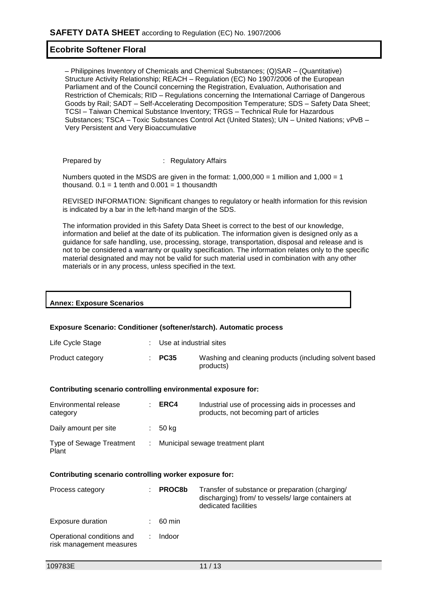– Philippines Inventory of Chemicals and Chemical Substances; (Q)SAR – (Quantitative) Structure Activity Relationship; REACH – Regulation (EC) No 1907/2006 of the European Parliament and of the Council concerning the Registration, Evaluation, Authorisation and Restriction of Chemicals; RID – Regulations concerning the International Carriage of Dangerous Goods by Rail; SADT – Self-Accelerating Decomposition Temperature; SDS – Safety Data Sheet; TCSI – Taiwan Chemical Substance Inventory; TRGS – Technical Rule for Hazardous Substances; TSCA – Toxic Substances Control Act (United States); UN – United Nations; vPvB – Very Persistent and Very Bioaccumulative

Prepared by : Regulatory Affairs

Numbers quoted in the MSDS are given in the format:  $1,000,000 = 1$  million and  $1,000 = 1$ thousand.  $0.1 = 1$  tenth and  $0.001 = 1$  thousandth

REVISED INFORMATION: Significant changes to regulatory or health information for this revision is indicated by a bar in the left-hand margin of the SDS.

The information provided in this Safety Data Sheet is correct to the best of our knowledge, information and belief at the date of its publication. The information given is designed only as a guidance for safe handling, use, processing, storage, transportation, disposal and release and is not to be considered a warranty or quality specification. The information relates only to the specific material designated and may not be valid for such material used in combination with any other materials or in any process, unless specified in the text.

|  | <b>Annex: Exposure Scenarios</b> |
|--|----------------------------------|
|  |                                  |

#### **Exposure Scenario: Conditioner (softener/starch). Automatic process**

| Life Cycle Stage | : Use at industrial sites |                                                                     |
|------------------|---------------------------|---------------------------------------------------------------------|
| Product category | $\div$ PC35               | Washing and cleaning products (including solvent based<br>products) |

#### **Contributing scenario controlling environmental exposure for:**

| Environmental release<br>category        |    | ERC4  | Industrial use of processing aids in processes and<br>products, not becoming part of articles |
|------------------------------------------|----|-------|-----------------------------------------------------------------------------------------------|
| Daily amount per site                    |    | 50 kg |                                                                                               |
| <b>Type of Sewage Treatment</b><br>Plant | t. |       | Municipal sewage treatment plant                                                              |

#### **Contributing scenario controlling worker exposure for:**

| Process category                                       | <b>PROC8b</b> | Transfer of substance or preparation (charging/<br>discharging) from/ to vessels/large containers at<br>dedicated facilities |
|--------------------------------------------------------|---------------|------------------------------------------------------------------------------------------------------------------------------|
| Exposure duration                                      | 60 min        |                                                                                                                              |
| Operational conditions and<br>risk management measures | Indoor        |                                                                                                                              |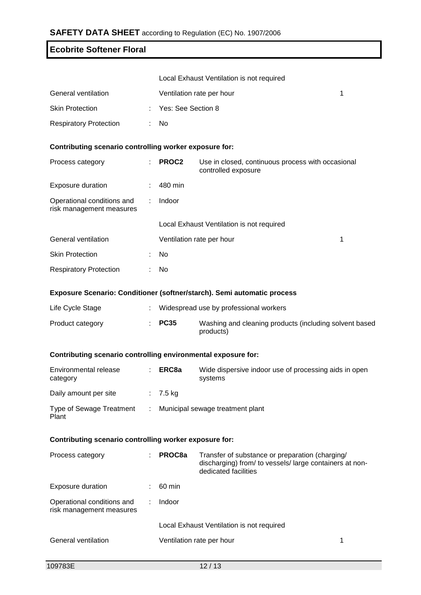|                                                               |    | Local Exhaust Ventilation is not required |                                                                                                                                    |  |  |  |  |  |
|---------------------------------------------------------------|----|-------------------------------------------|------------------------------------------------------------------------------------------------------------------------------------|--|--|--|--|--|
| General ventilation                                           |    | 1<br>Ventilation rate per hour            |                                                                                                                                    |  |  |  |  |  |
| <b>Skin Protection</b>                                        |    | Yes: See Section 8                        |                                                                                                                                    |  |  |  |  |  |
| <b>Respiratory Protection</b>                                 |    | No                                        |                                                                                                                                    |  |  |  |  |  |
| Contributing scenario controlling worker exposure for:        |    |                                           |                                                                                                                                    |  |  |  |  |  |
| Process category                                              |    | PROC2                                     | Use in closed, continuous process with occasional<br>controlled exposure                                                           |  |  |  |  |  |
| <b>Exposure duration</b>                                      |    | 480 min                                   |                                                                                                                                    |  |  |  |  |  |
| Operational conditions and<br>risk management measures        |    | Indoor                                    |                                                                                                                                    |  |  |  |  |  |
|                                                               |    |                                           | Local Exhaust Ventilation is not required                                                                                          |  |  |  |  |  |
| General ventilation                                           |    | Ventilation rate per hour<br>1            |                                                                                                                                    |  |  |  |  |  |
| <b>Skin Protection</b>                                        |    | No                                        |                                                                                                                                    |  |  |  |  |  |
| <b>Respiratory Protection</b>                                 |    | No                                        |                                                                                                                                    |  |  |  |  |  |
|                                                               |    |                                           | Exposure Scenario: Conditioner (softner/starch). Semi automatic process                                                            |  |  |  |  |  |
| Life Cycle Stage                                              |    | Widespread use by professional workers    |                                                                                                                                    |  |  |  |  |  |
| Product category                                              |    | <b>PC35</b>                               | Washing and cleaning products (including solvent based<br>products)                                                                |  |  |  |  |  |
| Contributing scenario controlling environmental exposure for: |    |                                           |                                                                                                                                    |  |  |  |  |  |
| Environmental release<br>category                             |    | ERC8a                                     | Wide dispersive indoor use of processing aids in open<br>systems                                                                   |  |  |  |  |  |
| Daily amount per site                                         |    | 7.5 kg                                    |                                                                                                                                    |  |  |  |  |  |
| <b>Type of Sewage Treatment</b><br>Plant                      | ÷. | Municipal sewage treatment plant          |                                                                                                                                    |  |  |  |  |  |
| Contributing scenario controlling worker exposure for:        |    |                                           |                                                                                                                                    |  |  |  |  |  |
| Process category                                              |    | PROC8a                                    | Transfer of substance or preparation (charging/<br>discharging) from/ to vessels/ large containers at non-<br>dedicated facilities |  |  |  |  |  |
| <b>Exposure duration</b>                                      |    | 60 min                                    |                                                                                                                                    |  |  |  |  |  |
| Operational conditions and<br>risk management measures        |    | Indoor                                    |                                                                                                                                    |  |  |  |  |  |
|                                                               |    | Local Exhaust Ventilation is not required |                                                                                                                                    |  |  |  |  |  |
| General ventilation                                           |    | Ventilation rate per hour<br>1            |                                                                                                                                    |  |  |  |  |  |